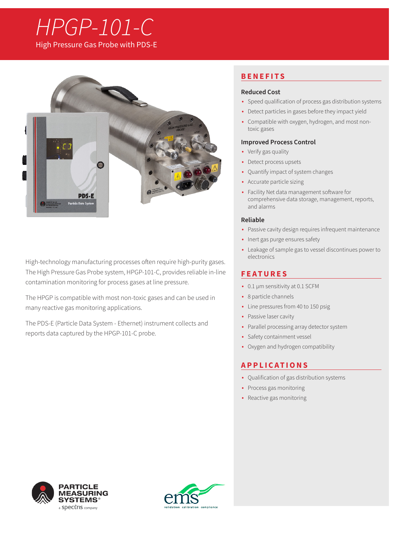# *HPGP-101-C* High Pressure Gas Probe with PDS-E



High-technology manufacturing processes often require high-purity gases. The High Pressure Gas Probe system, HPGP-101-C, provides reliable in-line contamination monitoring for process gases at line pressure.

The HPGP is compatible with most non-toxic gases and can be used in many reactive gas monitoring applications.

The PDS-E (Particle Data System - Ethernet) instrument collects and reports data captured by the HPGP-101-C probe.

# **BENEFITS**

### **Reduced Cost**

- Speed qualification of process gas distribution systems
- Detect particles in gases before they impact yield
- Compatible with oxygen, hydrogen, and most nontoxic gases

### **Improved Process Control**

- Verify gas quality
- Detect process upsets
- Quantify impact of system changes
- Accurate particle sizing
- Facility Net data management software for comprehensive data storage, management, reports, and alarms

### **Reliable**

- Passive cavity design requires infrequent maintenance
- Inert gas purge ensures safety
- Leakage of sample gas to vessel discontinues power to electronics

# **FEATURES**

- 0.1 µm sensitivity at 0.1 SCFM
- 8 particle channels
- Line pressures from 40 to 150 psig
- Passive laser cavity
- Parallel processing array detector system
- Safety containment vessel
- Oxygen and hydrogen compatibility

## **APPLICATIONS**

- Qualification of gas distribution systems
- Process gas monitoring
- Reactive gas monitoring